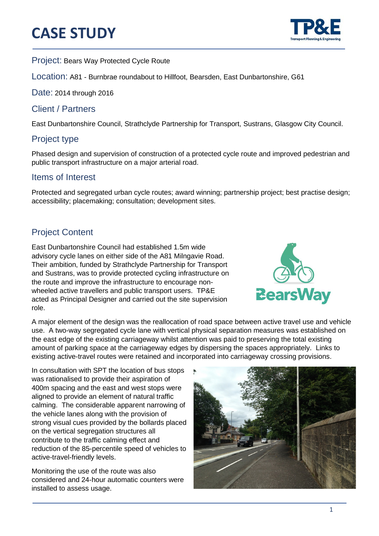# **CASE STUDY**



֦

Project: Bears Way Protected Cycle Route

Location: A81 - Burnbrae roundabout to Hillfoot, Bearsden, East Dunbartonshire, G61

Date: 2014 through 2016

#### Client / Partners

East Dunbartonshire Council, Strathclyde Partnership for Transport, Sustrans, Glasgow City Council.

### Project type

Phased design and supervision of construction of a protected cycle route and improved pedestrian and public transport infrastructure on a major arterial road.

#### Items of Interest

Protected and segregated urban cycle routes; award winning; partnership project; best practise design; accessibility; placemaking; consultation; development sites.

## Project Content

East Dunbartonshire Council had established 1.5m wide advisory cycle lanes on either side of the A81 Milngavie Road. Their ambition, funded by Strathclyde Partnership for Transport and Sustrans, was to provide protected cycling infrastructure on the route and improve the infrastructure to encourage nonwheeled active travellers and public transport users. TP&E acted as Principal Designer and carried out the site supervision role.



A major element of the design was the reallocation of road space between active travel use and vehicle use. A two-way segregated cycle lane with vertical physical separation measures was established on the east edge of the existing carriageway whilst attention was paid to preserving the total existing amount of parking space at the carriageway edges by dispersing the spaces appropriately. Links to existing active-travel routes were retained and incorporated into carriageway crossing provisions.

In consultation with SPT the location of bus stops was rationalised to provide their aspiration of 400m spacing and the east and west stops were aligned to provide an element of natural traffic calming. The considerable apparent narrowing of the vehicle lanes along with the provision of strong visual cues provided by the bollards placed on the vertical segregation structures all contribute to the traffic calming effect and reduction of the 85-percentile speed of vehicles to active-travel-friendly levels.

Monitoring the use of the route was also considered and 24-hour automatic counters were installed to assess usage.